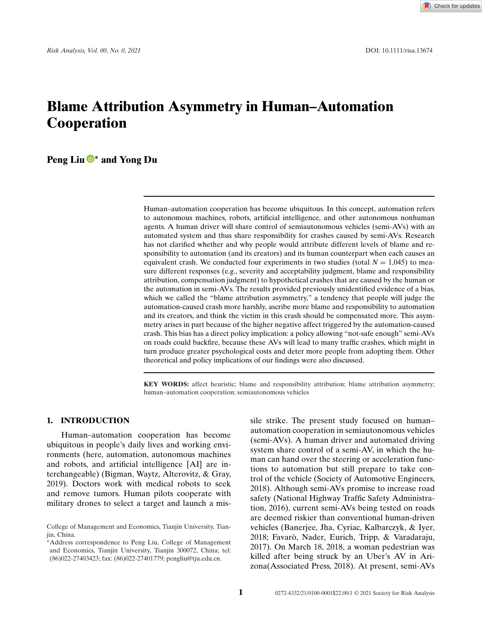# **Blame Attribution Asymmetry in Human–Automation Cooperation**

# **Peng Liu [∗](https://orcid.org/0000-0003-4929-0531) and Yong Du**

Human–automation cooperation has become ubiquitous. In this concept, automation refers to autonomous machines, robots, artificial intelligence, and other autonomous nonhuman agents. A human driver will share control of semiautonomous vehicles (semi-AVs) with an automated system and thus share responsibility for crashes caused by semi-AVs. Research has not clarified whether and why people would attribute different levels of blame and responsibility to automation (and its creators) and its human counterpart when each causes an equivalent crash. We conducted four experiments in two studies (total  $N = 1,045$ ) to measure different responses (e.g., severity and acceptability judgment, blame and responsibility attribution, compensation judgment) to hypothetical crashes that are caused by the human or the automation in semi-AVs. The results provided previously unidentified evidence of a bias, which we called the "blame attribution asymmetry," a tendency that people will judge the automation-caused crash more harshly, ascribe more blame and responsibility to automation and its creators, and think the victim in this crash should be compensated more. This asymmetry arises in part because of the higher negative affect triggered by the automation-caused crash. This bias has a direct policy implication: a policy allowing "not-safe enough" semi-AVs on roads could backfire, because these AVs will lead to many traffic crashes, which might in turn produce greater psychological costs and deter more people from adopting them. Other theoretical and policy implications of our findings were also discussed.

**KEY WORDS:** affect heuristic; blame and responsibility attribution; blame attribution asymmetry; human–automation cooperation; semiautonomous vehicles

## **1. INTRODUCTION**

Human–automation cooperation has become ubiquitous in people's daily lives and working environments (here, automation, autonomous machines and robots, and artificial intelligence [AI] are interchangeable) (Bigman, Waytz, Alterovitz, & Gray, 2019). Doctors work with medical robots to seek and remove tumors. Human pilots cooperate with military drones to select a target and launch a missile strike. The present study focused on human– automation cooperation in semiautonomous vehicles (semi-AVs). A human driver and automated driving system share control of a semi-AV, in which the human can hand over the steering or acceleration functions to automation but still prepare to take control of the vehicle (Society of Automotive Engineers, 2018). Although semi-AVs promise to increase road safety (National Highway Traffic Safety Administration, 2016), current semi-AVs being tested on roads are deemed riskier than conventional human-driven vehicles (Banerjee, Jha, Cyriac, Kalbarczyk, & Iyer, 2018; Favarò, Nader, Eurich, Tripp, & Varadaraju, 2017). On March 18, 2018, a woman pedestrian was killed after being struck by an Uber's AV in Arizona(Associated Press, 2018). At present, semi-AVs

College of Management and Economics, Tianjin University, Tianjin, China.

<sup>∗</sup>Address correspondence to Peng Liu, College of Management and Economics, Tianjin University, Tianjin 300072, China; tel: (86)022-27403423; fax: (86)022-27401779; pengliu@tju.edu.cn.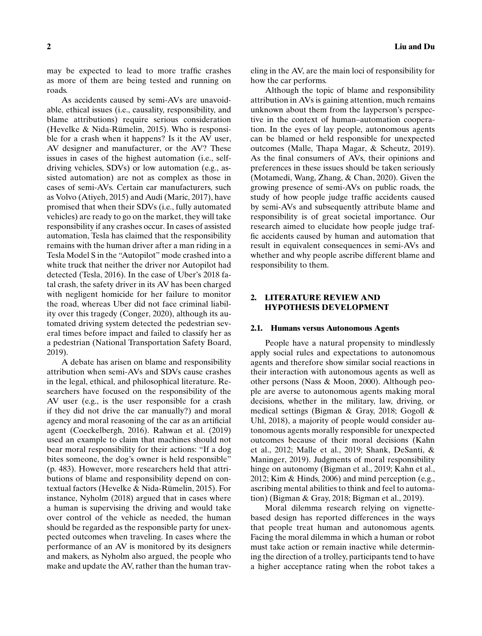may be expected to lead to more traffic crashes as more of them are being tested and running on roads.

As accidents caused by semi-AVs are unavoidable, ethical issues (i.e., causality, responsibility, and blame attributions) require serious consideration (Hevelke & Nida-Rümelin, 2015). Who is responsible for a crash when it happens? Is it the AV user, AV designer and manufacturer, or the AV? These issues in cases of the highest automation (i.e., selfdriving vehicles, SDVs) or low automation (e.g., assisted automation) are not as complex as those in cases of semi-AVs. Certain car manufacturers, such as Volvo (Atiyeh, 2015) and Audi (Maric, 2017), have promised that when their SDVs (i.e., fully automated vehicles) are ready to go on the market, they will take responsibility if any crashes occur. In cases of assisted automation, Tesla has claimed that the responsibility remains with the human driver after a man riding in a Tesla Model S in the "Autopilot" mode crashed into a white truck that neither the driver nor Autopilot had detected (Tesla, 2016). In the case of Uber's 2018 fatal crash, the safety driver in its AV has been charged with negligent homicide for her failure to monitor the road, whereas Uber did not face criminal liability over this tragedy (Conger, 2020), although its automated driving system detected the pedestrian several times before impact and failed to classify her as a pedestrian (National Transportation Safety Board, 2019).

A debate has arisen on blame and responsibility attribution when semi-AVs and SDVs cause crashes in the legal, ethical, and philosophical literature. Researchers have focused on the responsibility of the AV user (e.g., is the user responsible for a crash if they did not drive the car manually?) and moral agency and moral reasoning of the car as an artificial agent (Coeckelbergh, 2016). Rahwan et al. (2019) used an example to claim that machines should not bear moral responsibility for their actions: "If a dog bites someone, the dog's owner is held responsible" (p. 483). However, more researchers held that attributions of blame and responsibility depend on contextual factors (Hevelke & Nida-Rümelin, 2015). For instance, Nyholm (2018) argued that in cases where a human is supervising the driving and would take over control of the vehicle as needed, the human should be regarded as the responsible party for unexpected outcomes when traveling. In cases where the performance of an AV is monitored by its designers and makers, as Nyholm also argued, the people who make and update the AV, rather than the human traveling in the AV, are the main loci of responsibility for how the car performs.

Although the topic of blame and responsibility attribution in AVs is gaining attention, much remains unknown about them from the layperson's perspective in the context of human–automation cooperation. In the eyes of lay people, autonomous agents can be blamed or held responsible for unexpected outcomes (Malle, Thapa Magar, & Scheutz, 2019). As the final consumers of AVs, their opinions and preferences in these issues should be taken seriously (Motamedi, Wang, Zhang, & Chan, 2020). Given the growing presence of semi-AVs on public roads, the study of how people judge traffic accidents caused by semi-AVs and subsequently attribute blame and responsibility is of great societal importance. Our research aimed to elucidate how people judge traffic accidents caused by human and automation that result in equivalent consequences in semi-AVs and whether and why people ascribe different blame and responsibility to them.

## **2. LITERATURE REVIEW AND HYPOTHESIS DEVELOPMENT**

#### **2.1. Humans versus Autonomous Agents**

People have a natural propensity to mindlessly apply social rules and expectations to autonomous agents and therefore show similar social reactions in their interaction with autonomous agents as well as other persons (Nass & Moon, 2000). Although people are averse to autonomous agents making moral decisions, whether in the military, law, driving, or medical settings (Bigman & Gray, 2018; Gogoll & Uhl, 2018), a majority of people would consider autonomous agents morally responsible for unexpected outcomes because of their moral decisions (Kahn et al., 2012; Malle et al., 2019; Shank, DeSanti, & Maninger, 2019). Judgments of moral responsibility hinge on autonomy (Bigman et al., 2019; Kahn et al., 2012; Kim & Hinds, 2006) and mind perception (e.g., ascribing mental abilities to think and feel to automation) (Bigman & Gray, 2018; Bigman et al., 2019).

Moral dilemma research relying on vignettebased design has reported differences in the ways that people treat human and autonomous agents. Facing the moral dilemma in which a human or robot must take action or remain inactive while determining the direction of a trolley, participants tend to have a higher acceptance rating when the robot takes a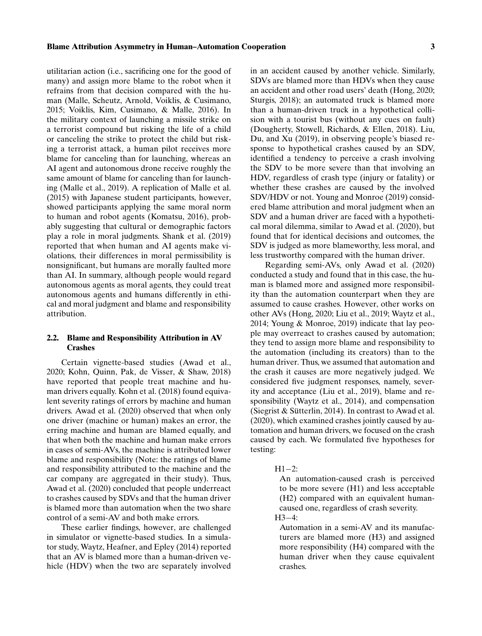## utilitarian action (i.e., sacrificing one for the good of many) and assign more blame to the robot when it refrains from that decision compared with the human (Malle, Scheutz, Arnold, Voiklis, & Cusimano, 2015; Voiklis, Kim, Cusimano, & Malle, 2016). In the military context of launching a missile strike on a terrorist compound but risking the life of a child or canceling the strike to protect the child but risking a terrorist attack, a human pilot receives more blame for canceling than for launching, whereas an AI agent and autonomous drone receive roughly the same amount of blame for canceling than for launching (Malle et al., 2019). A replication of Malle et al. (2015) with Japanese student participants, however, showed participants applying the same moral norm to human and robot agents (Komatsu, 2016), probably suggesting that cultural or demographic factors play a role in moral judgments. Shank et al. (2019) reported that when human and AI agents make violations, their differences in moral permissibility is nonsignificant, but humans are morally faulted more than AI. In summary, although people would regard autonomous agents as moral agents, they could treat autonomous agents and humans differently in ethical and moral judgment and blame and responsibility attribution.

## **2.2. Blame and Responsibility Attribution in AV Crashes**

Certain vignette-based studies (Awad et al., 2020; Kohn, Quinn, Pak, de Visser, & Shaw, 2018) have reported that people treat machine and human drivers equally. Kohn et al. (2018) found equivalent severity ratings of errors by machine and human drivers. Awad et al. (2020) observed that when only one driver (machine or human) makes an error, the erring machine and human are blamed equally, and that when both the machine and human make errors in cases of semi-AVs, the machine is attributed lower blame and responsibility (Note: the ratings of blame and responsibility attributed to the machine and the car company are aggregated in their study). Thus, Awad et al. (2020) concluded that people underreact to crashes caused by SDVs and that the human driver is blamed more than automation when the two share control of a semi-AV and both make errors.

These earlier findings, however, are challenged in simulator or vignette-based studies. In a simulator study, Waytz, Heafner, and Epley (2014) reported that an AV is blamed more than a human-driven vehicle (HDV) when the two are separately involved in an accident caused by another vehicle. Similarly, SDVs are blamed more than HDVs when they cause an accident and other road users' death (Hong, 2020; Sturgis, 2018); an automated truck is blamed more than a human-driven truck in a hypothetical collision with a tourist bus (without any cues on fault) (Dougherty, Stowell, Richards, & Ellen, 2018). Liu, Du, and Xu (2019), in observing people's biased response to hypothetical crashes caused by an SDV, identified a tendency to perceive a crash involving the SDV to be more severe than that involving an HDV, regardless of crash type (injury or fatality) or whether these crashes are caused by the involved SDV/HDV or not. Young and Monroe (2019) considered blame attribution and moral judgment when an SDV and a human driver are faced with a hypothetical moral dilemma, similar to Awad et al. (2020), but found that for identical decisions and outcomes, the SDV is judged as more blameworthy, less moral, and less trustworthy compared with the human driver.

Regarding semi-AVs, only Awad et al. (2020) conducted a study and found that in this case, the human is blamed more and assigned more responsibility than the automation counterpart when they are assumed to cause crashes. However, other works on other AVs (Hong, 2020; Liu et al., 2019; Waytz et al., 2014; Young & Monroe, 2019) indicate that lay people may overreact to crashes caused by automation; they tend to assign more blame and responsibility to the automation (including its creators) than to the human driver. Thus, we assumed that automation and the crash it causes are more negatively judged. We considered five judgment responses, namely, severity and acceptance (Liu et al., 2019), blame and responsibility (Waytz et al., 2014), and compensation (Siegrist & Sütterlin, 2014). In contrast to Awad et al. (2020), which examined crashes jointly caused by automation and human drivers, we focused on the crash caused by each. We formulated five hypotheses for testing:

#### H1−2:

An automation-caused crash is perceived to be more severe (H1) and less acceptable (H2) compared with an equivalent humancaused one, regardless of crash severity. H3−4:

Automation in a semi-AV and its manufacturers are blamed more (H3) and assigned more responsibility (H4) compared with the human driver when they cause equivalent crashes.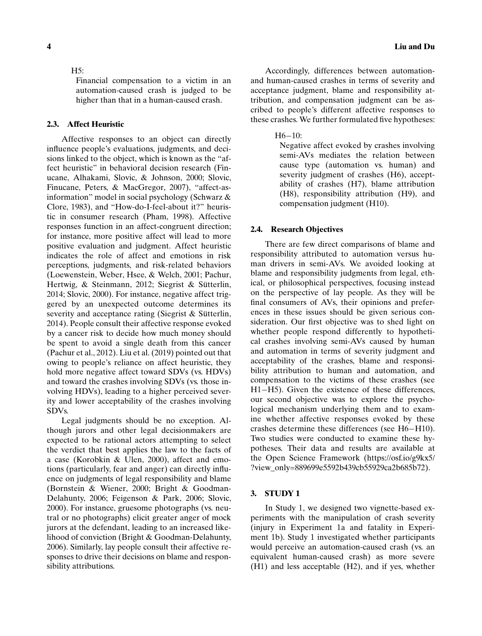Financial compensation to a victim in an automation-caused crash is judged to be higher than that in a human-caused crash.

#### **2.3. Affect Heuristic**

 $H5:$ 

Affective responses to an object can directly influence people's evaluations, judgments, and decisions linked to the object, which is known as the "affect heuristic" in behavioral decision research (Finucane, Alhakami, Slovic, & Johnson, 2000; Slovic, Finucane, Peters, & MacGregor, 2007), "affect-asinformation" model in social psychology (Schwarz & Clore, 1983), and "How-do-I-feel-about it?" heuristic in consumer research (Pham, 1998). Affective responses function in an affect-congruent direction; for instance, more positive affect will lead to more positive evaluation and judgment. Affect heuristic indicates the role of affect and emotions in risk perceptions, judgments, and risk-related behaviors (Loewenstein, Weber, Hsee, & Welch, 2001; Pachur, Hertwig, & Steinmann, 2012; Siegrist & Sütterlin, 2014; Slovic, 2000). For instance, negative affect triggered by an unexpected outcome determines its severity and acceptance rating (Siegrist & Sütterlin, 2014). People consult their affective response evoked by a cancer risk to decide how much money should be spent to avoid a single death from this cancer (Pachur et al., 2012). Liu et al. (2019) pointed out that owing to people's reliance on affect heuristic, they hold more negative affect toward SDVs (vs. HDVs) and toward the crashes involving SDVs (vs. those involving HDVs), leading to a higher perceived severity and lower acceptability of the crashes involving SDVs.

Legal judgments should be no exception. Although jurors and other legal decisionmakers are expected to be rational actors attempting to select the verdict that best applies the law to the facts of a case (Korobkin & Ulen, 2000), affect and emotions (particularly, fear and anger) can directly influence on judgments of legal responsibility and blame (Bornstein & Wiener, 2000; Bright & Goodman-Delahunty, 2006; Feigenson & Park, 2006; Slovic, 2000). For instance, gruesome photographs (vs. neutral or no photographs) elicit greater anger of mock jurors at the defendant, leading to an increased likelihood of conviction (Bright & Goodman-Delahunty, 2006). Similarly, lay people consult their affective responses to drive their decisions on blame and responsibility attributions.

Accordingly, differences between automationand human-caused crashes in terms of severity and acceptance judgment, blame and responsibility attribution, and compensation judgment can be ascribed to people's different affective responses to these crashes. We further formulated five hypotheses:

H<sub>6</sub>−10:

Negative affect evoked by crashes involving semi-AVs mediates the relation between cause type (automation vs. human) and severity judgment of crashes (H6), acceptability of crashes (H7), blame attribution (H8), responsibility attribution (H9), and compensation judgment (H10).

#### **2.4. Research Objectives**

There are few direct comparisons of blame and responsibility attributed to automation versus human drivers in semi-AVs. We avoided looking at blame and responsibility judgments from legal, ethical, or philosophical perspectives, focusing instead on the perspective of lay people. As they will be final consumers of AVs, their opinions and preferences in these issues should be given serious consideration. Our first objective was to shed light on whether people respond differently to hypothetical crashes involving semi-AVs caused by human and automation in terms of severity judgment and acceptability of the crashes, blame and responsibility attribution to human and automation, and compensation to the victims of these crashes (see H1−H5). Given the existence of these differences, our second objective was to explore the psychological mechanism underlying them and to examine whether affective responses evoked by these crashes determine these differences (see H6−H10). Two studies were conducted to examine these hypotheses. Their data and results are available at the Open Science Framework [\(https://osf.io/g9kx5/](https://osf.io/g9kx5/?view_only=889699e5592b439cb55929ca2b685b72) [?view\\_only=889699e5592b439cb55929ca2b685b72\)](https://osf.io/g9kx5/?view_only=889699e5592b439cb55929ca2b685b72).

## **3. STUDY 1**

In Study 1, we designed two vignette-based experiments with the manipulation of crash severity (injury in Experiment 1a and fatality in Experiment 1b). Study 1 investigated whether participants would perceive an automation-caused crash (vs. an equivalent human-caused crash) as more severe (H1) and less acceptable (H2), and if yes, whether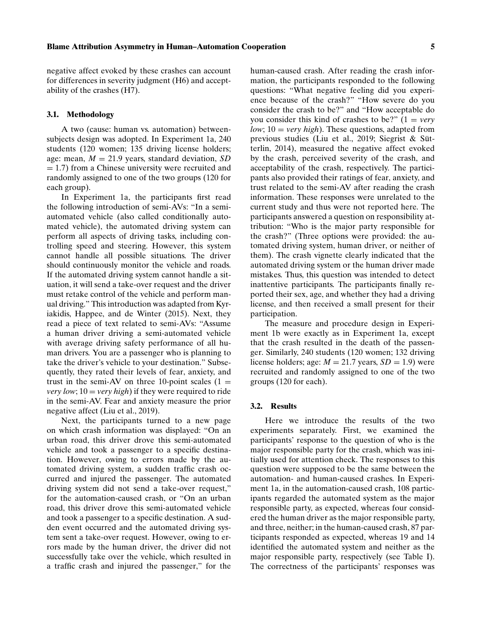negative affect evoked by these crashes can account for differences in severity judgment (H6) and acceptability of the crashes (H7).

## **3.1. Methodology**

A two (cause: human vs. automation) betweensubjects design was adopted. In Experiment 1a, 240 students (120 women; 135 driving license holders; age: mean, *M* = 21.9 years, standard deviation, *SD*  $= 1.7$ ) from a Chinese university were recruited and randomly assigned to one of the two groups (120 for each group).

In Experiment 1a, the participants first read the following introduction of semi-AVs: "In a semiautomated vehicle (also called conditionally automated vehicle), the automated driving system can perform all aspects of driving tasks, including controlling speed and steering. However, this system cannot handle all possible situations. The driver should continuously monitor the vehicle and roads. If the automated driving system cannot handle a situation, it will send a take-over request and the driver must retake control of the vehicle and perform manual driving." This introduction was adapted from Kyriakidis, Happee, and de Winter (2015). Next, they read a piece of text related to semi-AVs: "Assume a human driver driving a semi-automated vehicle with average driving safety performance of all human drivers. You are a passenger who is planning to take the driver's vehicle to your destination." Subsequently, they rated their levels of fear, anxiety, and trust in the semi-AV on three 10-point scales  $(1 =$ *very low*;  $10 = \text{very high}$  if they were required to ride in the semi-AV. Fear and anxiety measure the prior negative affect (Liu et al., 2019).

Next, the participants turned to a new page on which crash information was displayed: "On an urban road, this driver drove this semi-automated vehicle and took a passenger to a specific destination. However, owing to errors made by the automated driving system, a sudden traffic crash occurred and injured the passenger. The automated driving system did not send a take-over request," for the automation-caused crash, or "On an urban road, this driver drove this semi-automated vehicle and took a passenger to a specific destination. A sudden event occurred and the automated driving system sent a take-over request. However, owing to errors made by the human driver, the driver did not successfully take over the vehicle, which resulted in a traffic crash and injured the passenger," for the human-caused crash. After reading the crash information, the participants responded to the following questions: "What negative feeling did you experience because of the crash?" "How severe do you consider the crash to be?" and "How acceptable do you consider this kind of crashes to be?"  $(1 = \text{very})$ *low*; 10 = *very high*). These questions, adapted from previous studies (Liu et al., 2019; Siegrist & Sütterlin, 2014), measured the negative affect evoked by the crash, perceived severity of the crash, and acceptability of the crash, respectively. The participants also provided their ratings of fear, anxiety, and trust related to the semi-AV after reading the crash information. These responses were unrelated to the current study and thus were not reported here. The participants answered a question on responsibility attribution: "Who is the major party responsible for the crash?" (Three options were provided: the automated driving system, human driver, or neither of them). The crash vignette clearly indicated that the automated driving system or the human driver made mistakes. Thus, this question was intended to detect inattentive participants. The participants finally reported their sex, age, and whether they had a driving license, and then received a small present for their participation.

The measure and procedure design in Experiment 1b were exactly as in Experiment 1a, except that the crash resulted in the death of the passenger. Similarly, 240 students (120 women; 132 driving license holders; age:  $M = 21.7$  years,  $SD = 1.9$ ) were recruited and randomly assigned to one of the two groups (120 for each).

#### **3.2. Results**

Here we introduce the results of the two experiments separately. First, we examined the participants' response to the question of who is the major responsible party for the crash, which was initially used for attention check. The responses to this question were supposed to be the same between the automation- and human-caused crashes. In Experiment 1a, in the automation-caused crash, 108 participants regarded the automated system as the major responsible party, as expected, whereas four considered the human driver as the major responsible party, and three, neither; in the human-caused crash, 87 participants responded as expected, whereas 19 and 14 identified the automated system and neither as the major responsible party, respectively (see Table I). The correctness of the participants' responses was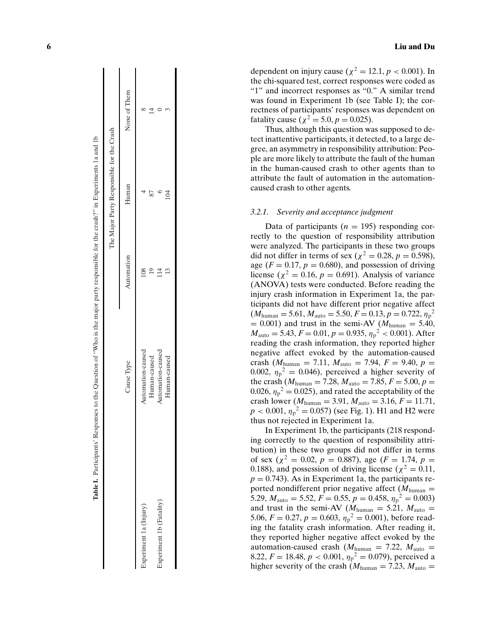|                          |                   |            | The Major Party Responsible for the Crash |              |
|--------------------------|-------------------|------------|-------------------------------------------|--------------|
|                          | Cause Type        | Automation | Human                                     | None of Them |
| Experiment 1a (Injury)   | Automation-caused |            |                                           |              |
|                          | Human-caused      |            |                                           |              |
| Experiment 1b (Fatality) | Automation-caused |            |                                           |              |
|                          | Human-caused      |            |                                           |              |

Table I. Participants' Responses to the Question of "Who is the major party responsible for the crash?" in Experiments 1a and 1b

**6 Liu and Du**

dependent on injury cause ( $\chi^2 = 12.1, p < 0.001$ ). In the chi-squared test, correct responses were coded as "1" and incorrect responses as "0." A similar trend was found in Experiment 1b (see Table I); the correctness of participants' responses was dependent on fatality cause ( $\chi^2 = 5.0, p = 0.025$ ).

Thus, although this question was supposed to detect inattentive participants, it detected, to a large degree, an asymmetry in responsibility attribution: People are more likely to attribute the fault of the human in the human-caused crash to other agents than to attribute the fault of automation in the automationcaused crash to other agents.

#### *3.2.1. Severity and acceptance judgment*

Data of participants  $(n = 195)$  responding correctly to the question of responsibility attribution were analyzed. The participants in these two groups did not differ in terms of sex ( $\chi^2 = 0.28, p = 0.598$ ), age ( $F = 0.17$ ,  $p = 0.680$ ), and possession of driving license ( $\chi^2 = 0.16$ ,  $p = 0.691$ ). Analysis of variance (ANOVA) tests were conducted. Before reading the injury crash information in Experiment 1a, the participants did not have different prior negative affect  $(M_{\text{human}} = 5.61, M_{\text{auto}} = 5.50, F = 0.13, p = 0.722, \eta_{p}^{2} = 0.001)$  and trust in the semi-AV  $(M_{\text{human}} = 5.40,$  $M_{\text{auto}} = 5.43, F = 0.01, p = 0.935, \eta_p^2 < 0.001$ ). After reading the crash information, they reported higher negative affect evoked by the automation-caused crash  $(M_{\text{human}} = 7.11, M_{\text{auto}} = 7.94, F = 9.40, p =$ 0.002,  $\eta_p^2 = 0.046$ , perceived a higher severity of the crash  $(M_{\text{human}} = 7.28, M_{\text{auto}} = 7.85, F = 5.00, p =$ 0.026,  $\eta_p^2 = 0.025$ ), and rated the acceptability of the crash lower  $(M_{\text{human}} = 3.91, M_{\text{auto}} = 3.16, F = 11.71,$  $p < 0.001$ ,  $\eta_p^2 = 0.057$ ) (see Fig. 1). H1 and H2 were thus not rejected in Experiment 1a.

In Experiment 1b, the participants (218 responding correctly to the question of responsibility attribution) in these two groups did not differ in terms of sex  $(\chi^2 = 0.02, p = 0.887)$ , age  $(F = 1.74, p =$ 0.188), and possession of driving license ( $\chi^2 = 0.11$ ,  $p = 0.743$ ). As in Experiment 1a, the participants reported nondifferent prior negative affect  $(M_{\text{human}} =$ 5.29,  $M_{\text{auto}} = 5.52, F = 0.55, p = 0.458, \eta_p^2 = 0.003$ and trust in the semi-AV ( $M_{\text{human}} = 5.21$ ,  $M_{\text{auto}} =$ 5.06,  $F = 0.27$ ,  $p = 0.603$ ,  $\eta_p^2 = 0.001$ ), before reading the fatality crash information. After reading it, they reported higher negative affect evoked by the automation-caused crash  $(M_{\text{human}} = 7.22, M_{\text{auto}} =$ 8.22,  $F = 18.48, p < 0.001, \eta_p^2 = 0.079$ , perceived a higher severity of the crash  $(M_{\text{human}} = 7.23, M_{\text{auto}} =$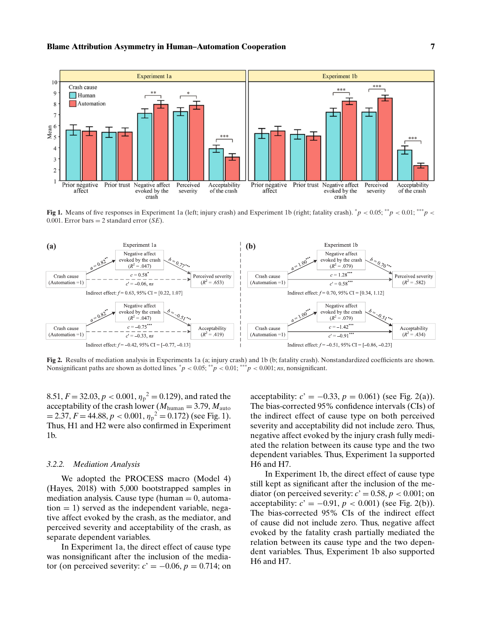

**Fig 1.** Means of five responses in Experiment 1a (left; injury crash) and Experiment 1b (right; fatality crash).  $^*p < 0.05; ^{**}p < 0.01; ^{***}p < 0.01$ 0.001. Error bars = 2 standard error (*SE*).



**Fig 2.** Results of mediation analysis in Experiments 1a (a; injury crash) and 1b (b; fatality crash). Nonstandardized coefficients are shown. Nonsignificant paths are shown as dotted lines.  $p < 0.05$ ;  $p > 0.01$ ;  $p > 0.001$ ; *ns*, nonsignificant.

8.51,  $F = 32.03$ ,  $p < 0.001$ ,  $\eta_p^2 = 0.129$ ), and rated the acceptability of the crash lower ( $M_{\text{human}} = 3.79, M_{\text{auto}}$  $= 2.37, F = 44.88, p < 0.001, \eta_p^2 = 0.172$  (see Fig. 1). Thus, H1 and H2 were also confirmed in Experiment 1b.

#### *3.2.2. Mediation Analysis*

We adopted the PROCESS macro (Model 4) (Hayes, 2018) with 5,000 bootstrapped samples in mediation analysis. Cause type (human  $= 0$ , automa $t$  tion  $= 1$ ) served as the independent variable, negative affect evoked by the crash, as the mediator, and perceived severity and acceptability of the crash, as separate dependent variables.

In Experiment 1a, the direct effect of cause type was nonsignificant after the inclusion of the mediator (on perceived severity:  $c' = -0.06$ ,  $p = 0.714$ ; on acceptability:  $c' = -0.33$ ,  $p = 0.061$ ) (see Fig. 2(a)). The bias-corrected 95% confidence intervals (CIs) of the indirect effect of cause type on both perceived severity and acceptability did not include zero. Thus, negative affect evoked by the injury crash fully mediated the relation between its cause type and the two dependent variables. Thus, Experiment 1a supported H6 and H7.

In Experiment 1b, the direct effect of cause type still kept as significant after the inclusion of the mediator (on perceived severity:  $c' = 0.58$ ,  $p < 0.001$ ; on acceptability:  $c' = -0.91$ ,  $p < 0.001$ ) (see Fig. 2(b)). The bias-corrected 95% CIs of the indirect effect of cause did not include zero. Thus, negative affect evoked by the fatality crash partially mediated the relation between its cause type and the two dependent variables. Thus, Experiment 1b also supported H6 and H7.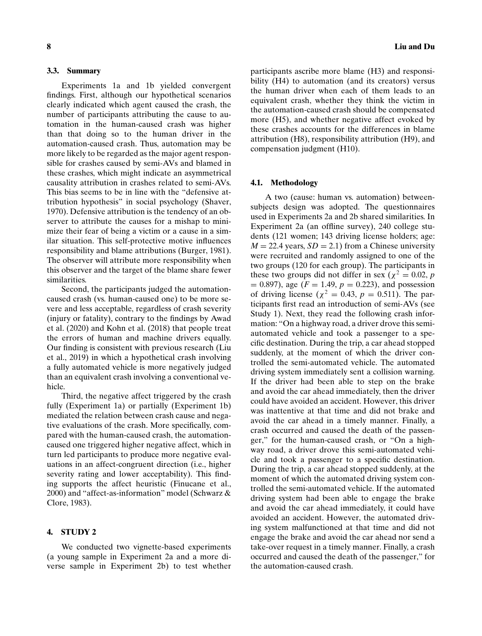#### **3.3. Summary**

Experiments 1a and 1b yielded convergent findings. First, although our hypothetical scenarios clearly indicated which agent caused the crash, the number of participants attributing the cause to automation in the human-caused crash was higher than that doing so to the human driver in the automation-caused crash. Thus, automation may be more likely to be regarded as the major agent responsible for crashes caused by semi-AVs and blamed in these crashes, which might indicate an asymmetrical causality attribution in crashes related to semi-AVs. This bias seems to be in line with the "defensive attribution hypothesis" in social psychology (Shaver, 1970). Defensive attribution is the tendency of an observer to attribute the causes for a mishap to minimize their fear of being a victim or a cause in a similar situation. This self-protective motive influences responsibility and blame attributions (Burger, 1981). The observer will attribute more responsibility when this observer and the target of the blame share fewer similarities.

Second, the participants judged the automationcaused crash (vs. human-caused one) to be more severe and less acceptable, regardless of crash severity (injury or fatality), contrary to the findings by Awad et al. (2020) and Kohn et al. (2018) that people treat the errors of human and machine drivers equally. Our finding is consistent with previous research (Liu et al., 2019) in which a hypothetical crash involving a fully automated vehicle is more negatively judged than an equivalent crash involving a conventional vehicle.

Third, the negative affect triggered by the crash fully (Experiment 1a) or partially (Experiment 1b) mediated the relation between crash cause and negative evaluations of the crash. More specifically, compared with the human-caused crash, the automationcaused one triggered higher negative affect, which in turn led participants to produce more negative evaluations in an affect-congruent direction (i.e., higher severity rating and lower acceptability). This finding supports the affect heuristic (Finucane et al., 2000) and "affect-as-information" model (Schwarz & Clore, 1983).

#### **4. STUDY 2**

We conducted two vignette-based experiments (a young sample in Experiment 2a and a more diverse sample in Experiment 2b) to test whether participants ascribe more blame (H3) and responsibility (H4) to automation (and its creators) versus the human driver when each of them leads to an equivalent crash, whether they think the victim in the automation-caused crash should be compensated more (H5), and whether negative affect evoked by these crashes accounts for the differences in blame attribution (H8), responsibility attribution (H9), and compensation judgment (H10).

#### **4.1. Methodology**

A two (cause: human vs. automation) betweensubjects design was adopted. The questionnaires used in Experiments 2a and 2b shared similarities. In Experiment 2a (an offline survey), 240 college students (121 women; 143 driving license holders; age:  $M = 22.4$  years,  $SD = 2.1$ ) from a Chinese university were recruited and randomly assigned to one of the two groups (120 for each group). The participants in these two groups did not differ in sex ( $\chi^2 = 0.02$ , *p*  $= 0.897$ , age ( $F = 1.49$ ,  $p = 0.223$ ), and possession of driving license ( $\chi^2 = 0.43$ ,  $p = 0.511$ ). The participants first read an introduction of semi-AVs (see Study 1). Next, they read the following crash information: "On a highway road, a driver drove this semiautomated vehicle and took a passenger to a specific destination. During the trip, a car ahead stopped suddenly, at the moment of which the driver controlled the semi-automated vehicle. The automated driving system immediately sent a collision warning. If the driver had been able to step on the brake and avoid the car ahead immediately, then the driver could have avoided an accident. However, this driver was inattentive at that time and did not brake and avoid the car ahead in a timely manner. Finally, a crash occurred and caused the death of the passenger," for the human-caused crash, or "On a highway road, a driver drove this semi-automated vehicle and took a passenger to a specific destination. During the trip, a car ahead stopped suddenly, at the moment of which the automated driving system controlled the semi-automated vehicle. If the automated driving system had been able to engage the brake and avoid the car ahead immediately, it could have avoided an accident. However, the automated driving system malfunctioned at that time and did not engage the brake and avoid the car ahead nor send a take-over request in a timely manner. Finally, a crash occurred and caused the death of the passenger," for the automation-caused crash.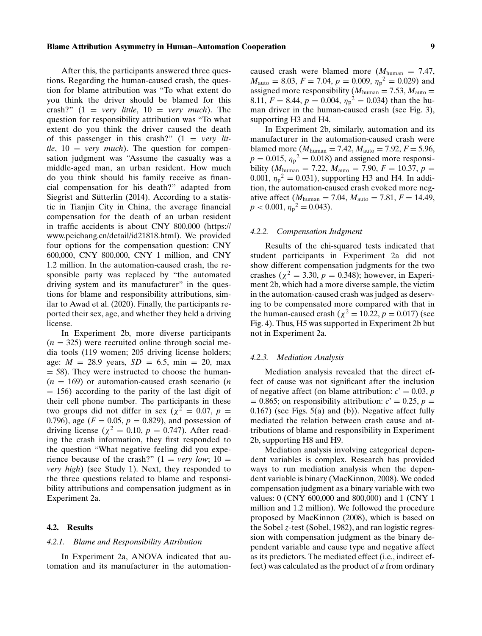After this, the participants answered three questions. Regarding the human-caused crash, the question for blame attribution was "To what extent do you think the driver should be blamed for this crash?" (1 = *very little*, 10 = *very much*). The question for responsibility attribution was "To what extent do you think the driver caused the death of this passenger in this crash?" (1 = *very little*, 10 = *very much*). The question for compensation judgment was "Assume the casualty was a middle-aged man, an urban resident. How much do you think should his family receive as financial compensation for his death?" adapted from Siegrist and Sütterlin (2014). According to a statistic in Tianjin City in China, the average financial compensation for the death of an urban resident in traffic accidents is about CNY 800,000 [\(https://](https://www.peichang.cn/detail/id21818.html) [www.peichang.cn/detail/id21818.html\)](https://www.peichang.cn/detail/id21818.html). We provided four options for the compensation question: CNY 600,000, CNY 800,000, CNY 1 million, and CNY 1.2 million. In the automation-caused crash, the responsible party was replaced by "the automated driving system and its manufacturer" in the questions for blame and responsibility attributions, similar to Awad et al. (2020). Finally, the participants reported their sex, age, and whether they held a driving license.

In Experiment 2b, more diverse participants  $(n = 325)$  were recruited online through social media tools (119 women; 205 driving license holders; age:  $M = 28.9$  years,  $SD = 6.5$ , min = 20, max  $=$  58). They were instructed to choose the human-(*n* = 169) or automation-caused crash scenario (*n*  $= 156$ ) according to the parity of the last digit of their cell phone number. The participants in these two groups did not differ in sex ( $\chi^2 = 0.07$ ,  $p =$ 0.796), age  $(F = 0.05, p = 0.829)$ , and possession of driving license ( $\chi^2 = 0.10$ ,  $p = 0.747$ ). After reading the crash information, they first responded to the question "What negative feeling did you experience because of the crash?"  $(1 = \text{very low}; 10 =$ *very high*) (see Study 1). Next, they responded to the three questions related to blame and responsibility attributions and compensation judgment as in Experiment 2a.

#### **4.2. Results**

#### *4.2.1. Blame and Responsibility Attribution*

In Experiment 2a, ANOVA indicated that automation and its manufacturer in the automationcaused crash were blamed more  $(M_{\text{human}} = 7.47,$  $M_{\text{auto}} = 8.03, F = 7.04, p = 0.009, \eta_p^2 = 0.029$  and assigned more responsibility ( $M_{\text{human}} = 7.53$ ,  $M_{\text{auto}} =$ 8.11,  $F = 8.44$ ,  $p = 0.004$ ,  $\eta_p^2 = 0.034$ ) than the human driver in the human-caused crash (see Fig. 3), supporting H3 and H4.

In Experiment 2b, similarly, automation and its manufacturer in the automation-caused crash were blamed more ( $M_{\text{human}} = 7.42$ ,  $M_{\text{auto}} = 7.92$ ,  $F = 5.96$ ,  $p = 0.015$ ,  $\eta_p^2 = 0.018$ ) and assigned more responsibility ( $M_{\text{human}} = 7.22$ ,  $M_{\text{auto}} = 7.90$ ,  $F = 10.37$ ,  $p =$ 0.001,  $\eta_p^2 = 0.031$ ), supporting H3 and H4. In addition, the automation-caused crash evoked more negative affect ( $M_{\text{human}} = 7.04, M_{\text{auto}} = 7.81, F = 14.49,$  $p < 0.001, \eta_p^2 = 0.043$ .

#### *4.2.2. Compensation Judgment*

Results of the chi-squared tests indicated that student participants in Experiment 2a did not show different compensation judgments for the two crashes ( $\chi^2 = 3.30, p = 0.348$ ); however, in Experiment 2b, which had a more diverse sample, the victim in the automation-caused crash was judged as deserving to be compensated more compared with that in the human-caused crash ( $\chi^2 = 10.22$ ,  $p = 0.017$ ) (see Fig. 4). Thus, H5 was supported in Experiment 2b but not in Experiment 2a.

#### *4.2.3. Mediation Analysis*

Mediation analysis revealed that the direct effect of cause was not significant after the inclusion of negative affect (on blame attribution:  $c' = 0.03$ , *p*  $= 0.865$ ; on responsibility attribution:  $c' = 0.25$ ,  $p =$  $0.167$ ) (see Figs.  $5(a)$  and (b)). Negative affect fully mediated the relation between crash cause and attributions of blame and responsibility in Experiment 2b, supporting H8 and H9.

Mediation analysis involving categorical dependent variables is complex. Research has provided ways to run mediation analysis when the dependent variable is binary (MacKinnon, 2008). We coded compensation judgment as a binary variable with two values: 0 (CNY 600,000 and 800,000) and 1 (CNY 1 million and 1.2 million). We followed the procedure proposed by MacKinnon (2008), which is based on the Sobel *z*-test (Sobel, 1982), and ran logistic regression with compensation judgment as the binary dependent variable and cause type and negative affect as its predictors. The mediated effect (i.e., indirect effect) was calculated as the product of *a* from ordinary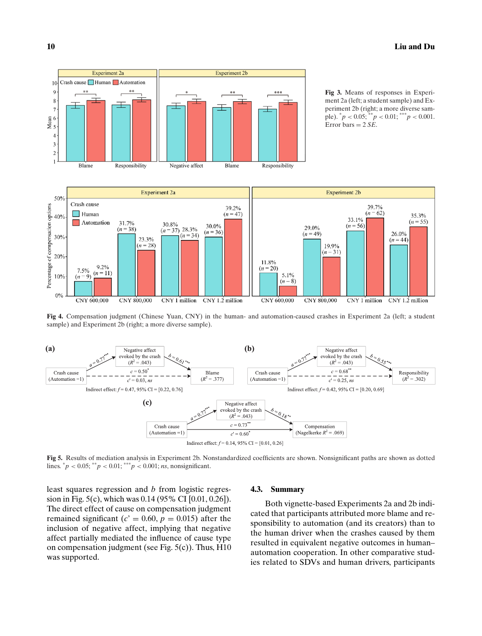

**Fig 3.** Means of responses in Experiment 2a (left; a student sample) and Experiment 2b (right; a more diverse sample).  $^{*}p < 0.05$ ;  $^{**}p < 0.01$ ;  $^{***}p < 0.001$ . Error bars = 2 *SE*.



**Fig 4.** Compensation judgment (Chinese Yuan, CNY) in the human- and automation-caused crashes in Experiment 2a (left; a student sample) and Experiment 2b (right; a more diverse sample).



**Fig 5.** Results of mediation analysis in Experiment 2b. Nonstandardized coefficients are shown. Nonsignificant paths are shown as dotted lines.  $^{*}p$  < 0.05;  $^{**}p$  < 0.01;  $^{***}p$  < 0.001; *ns*, nonsignificant.

least squares regression and *b* from logistic regression in Fig. 5(c), which was 0.14 (95% CI [0.01, 0.26]). The direct effect of cause on compensation judgment remained significant ( $c' = 0.60$ ,  $p = 0.015$ ) after the inclusion of negative affect, implying that negative affect partially mediated the influence of cause type on compensation judgment (see Fig. 5(c)). Thus, H10 was supported.

#### **4.3. Summary**

Both vignette-based Experiments 2a and 2b indicated that participants attributed more blame and responsibility to automation (and its creators) than to the human driver when the crashes caused by them resulted in equivalent negative outcomes in human– automation cooperation. In other comparative studies related to SDVs and human drivers, participants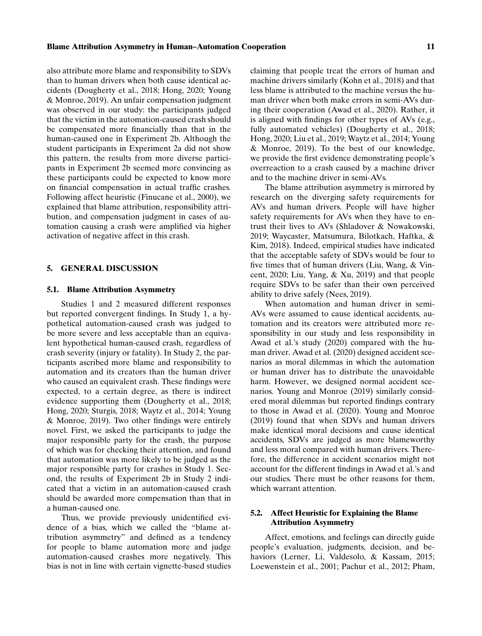also attribute more blame and responsibility to SDVs than to human drivers when both cause identical accidents (Dougherty et al., 2018; Hong, 2020; Young & Monroe, 2019). An unfair compensation judgment was observed in our study: the participants judged that the victim in the automation-caused crash should be compensated more financially than that in the human-caused one in Experiment 2b. Although the student participants in Experiment 2a did not show this pattern, the results from more diverse participants in Experiment 2b seemed more convincing as these participants could be expected to know more on financial compensation in actual traffic crashes. Following affect heuristic (Finucane et al., 2000), we explained that blame attribution, responsibility attribution, and compensation judgment in cases of automation causing a crash were amplified via higher activation of negative affect in this crash.

## **5. GENERAL DISCUSSION**

#### **5.1. Blame Attribution Asymmetry**

Studies 1 and 2 measured different responses but reported convergent findings. In Study 1, a hypothetical automation-caused crash was judged to be more severe and less acceptable than an equivalent hypothetical human-caused crash, regardless of crash severity (injury or fatality). In Study 2, the participants ascribed more blame and responsibility to automation and its creators than the human driver who caused an equivalent crash. These findings were expected, to a certain degree, as there is indirect evidence supporting them (Dougherty et al., 2018; Hong, 2020; Sturgis, 2018; Waytz et al., 2014; Young & Monroe, 2019). Two other findings were entirely novel. First, we asked the participants to judge the major responsible party for the crash, the purpose of which was for checking their attention, and found that automation was more likely to be judged as the major responsible party for crashes in Study 1. Second, the results of Experiment 2b in Study 2 indicated that a victim in an automation-caused crash should be awarded more compensation than that in a human-caused one.

Thus, we provide previously unidentified evidence of a bias, which we called the "blame attribution asymmetry" and defined as a tendency for people to blame automation more and judge automation-caused crashes more negatively. This bias is not in line with certain vignette-based studies claiming that people treat the errors of human and machine drivers similarly (Kohn et al., 2018) and that less blame is attributed to the machine versus the human driver when both make errors in semi-AVs during their cooperation (Awad et al., 2020). Rather, it is aligned with findings for other types of AVs (e.g., fully automated vehicles) (Dougherty et al., 2018; Hong, 2020; Liu et al., 2019; Waytz et al., 2014; Young & Monroe, 2019). To the best of our knowledge, we provide the first evidence demonstrating people's overreaction to a crash caused by a machine driver and to the machine driver in semi-AVs.

The blame attribution asymmetry is mirrored by research on the diverging safety requirements for AVs and human drivers. People will have higher safety requirements for AVs when they have to entrust their lives to AVs (Shladover & Nowakowski, 2019; Waycaster, Matsumura, Bilotkach, Haftka, & Kim, 2018). Indeed, empirical studies have indicated that the acceptable safety of SDVs would be four to five times that of human drivers (Liu, Wang, & Vincent, 2020; Liu, Yang, & Xu, 2019) and that people require SDVs to be safer than their own perceived ability to drive safely (Nees, 2019).

When automation and human driver in semi-AVs were assumed to cause identical accidents, automation and its creators were attributed more responsibility in our study and less responsibility in Awad et al.'s study (2020) compared with the human driver. Awad et al. (2020) designed accident scenarios as moral dilemmas in which the automation or human driver has to distribute the unavoidable harm. However, we designed normal accident scenarios. Young and Monroe (2019) similarly considered moral dilemmas but reported findings contrary to those in Awad et al. (2020). Young and Monroe (2019) found that when SDVs and human drivers make identical moral decisions and cause identical accidents, SDVs are judged as more blameworthy and less moral compared with human drivers. Therefore, the difference in accident scenarios might not account for the different findings in Awad et al.'s and our studies. There must be other reasons for them, which warrant attention.

## **5.2. Affect Heuristic for Explaining the Blame Attribution Asymmetry**

Affect, emotions, and feelings can directly guide people's evaluation, judgments, decision, and behaviors (Lerner, Li, Valdesolo, & Kassam, 2015; Loewenstein et al., 2001; Pachur et al., 2012; Pham,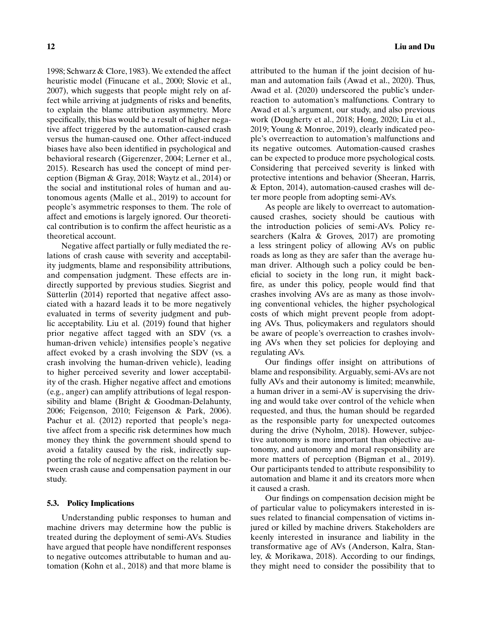1998; Schwarz & Clore, 1983). We extended the affect heuristic model (Finucane et al., 2000; Slovic et al., 2007), which suggests that people might rely on affect while arriving at judgments of risks and benefits, to explain the blame attribution asymmetry. More specifically, this bias would be a result of higher negative affect triggered by the automation-caused crash versus the human-caused one. Other affect-induced biases have also been identified in psychological and behavioral research (Gigerenzer, 2004; Lerner et al., 2015). Research has used the concept of mind perception (Bigman & Gray, 2018; Waytz et al., 2014) or the social and institutional roles of human and autonomous agents (Malle et al., 2019) to account for people's asymmetric responses to them. The role of affect and emotions is largely ignored. Our theoretical contribution is to confirm the affect heuristic as a theoretical account.

Negative affect partially or fully mediated the relations of crash cause with severity and acceptability judgments, blame and responsibility attributions, and compensation judgment. These effects are indirectly supported by previous studies. Siegrist and Sütterlin (2014) reported that negative affect associated with a hazard leads it to be more negatively evaluated in terms of severity judgment and public acceptability. Liu et al. (2019) found that higher prior negative affect tagged with an SDV (vs. a human-driven vehicle) intensifies people's negative affect evoked by a crash involving the SDV (vs. a crash involving the human-driven vehicle), leading to higher perceived severity and lower acceptability of the crash. Higher negative affect and emotions (e.g., anger) can amplify attributions of legal responsibility and blame (Bright & Goodman-Delahunty, 2006; Feigenson, 2010; Feigenson & Park, 2006). Pachur et al. (2012) reported that people's negative affect from a specific risk determines how much money they think the government should spend to avoid a fatality caused by the risk, indirectly supporting the role of negative affect on the relation between crash cause and compensation payment in our study.

## **5.3. Policy Implications**

Understanding public responses to human and machine drivers may determine how the public is treated during the deployment of semi-AVs. Studies have argued that people have nondifferent responses to negative outcomes attributable to human and automation (Kohn et al., 2018) and that more blame is attributed to the human if the joint decision of human and automation fails (Awad et al., 2020). Thus, Awad et al. (2020) underscored the public's underreaction to automation's malfunctions. Contrary to Awad et al.'s argument, our study, and also previous work (Dougherty et al., 2018; Hong, 2020; Liu et al., 2019; Young & Monroe, 2019), clearly indicated people's overreaction to automation's malfunctions and its negative outcomes. Automation-caused crashes can be expected to produce more psychological costs. Considering that perceived severity is linked with protective intentions and behavior (Sheeran, Harris, & Epton, 2014), automation-caused crashes will deter more people from adopting semi-AVs.

As people are likely to overreact to automationcaused crashes, society should be cautious with the introduction policies of semi-AVs. Policy researchers (Kalra & Groves, 2017) are promoting a less stringent policy of allowing AVs on public roads as long as they are safer than the average human driver. Although such a policy could be beneficial to society in the long run, it might backfire, as under this policy, people would find that crashes involving AVs are as many as those involving conventional vehicles, the higher psychological costs of which might prevent people from adopting AVs. Thus, policymakers and regulators should be aware of people's overreaction to crashes involving AVs when they set policies for deploying and regulating AVs.

Our findings offer insight on attributions of blame and responsibility. Arguably, semi-AVs are not fully AVs and their autonomy is limited; meanwhile, a human driver in a semi-AV is supervising the driving and would take over control of the vehicle when requested, and thus, the human should be regarded as the responsible party for unexpected outcomes during the drive (Nyholm, 2018). However, subjective autonomy is more important than objective autonomy, and autonomy and moral responsibility are more matters of perception (Bigman et al., 2019). Our participants tended to attribute responsibility to automation and blame it and its creators more when it caused a crash.

Our findings on compensation decision might be of particular value to policymakers interested in issues related to financial compensation of victims injured or killed by machine drivers. Stakeholders are keenly interested in insurance and liability in the transformative age of AVs (Anderson, Kalra, Stanley, & Morikawa, 2018). According to our findings, they might need to consider the possibility that to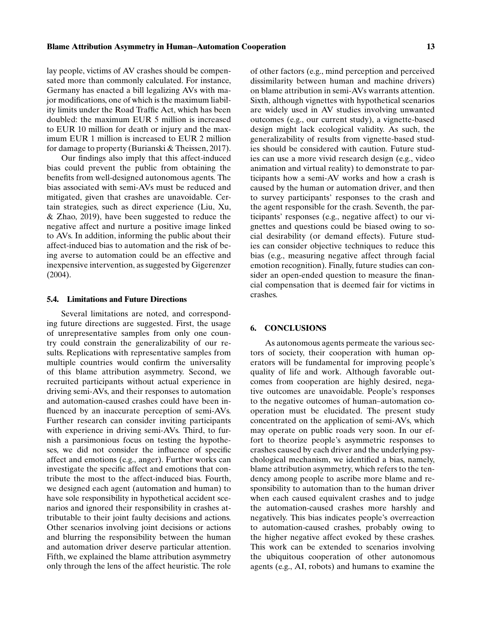lay people, victims of AV crashes should be compensated more than commonly calculated. For instance, Germany has enacted a bill legalizing AVs with major modifications, one of which is the maximum liability limits under the Road Traffic Act, which has been doubled: the maximum EUR 5 million is increased to EUR 10 million for death or injury and the maximum EUR 1 million is increased to EUR 2 million for damage to property (Burianski & Theissen, 2017).

Our findings also imply that this affect-induced bias could prevent the public from obtaining the benefits from well-designed autonomous agents. The bias associated with semi-AVs must be reduced and mitigated, given that crashes are unavoidable. Certain strategies, such as direct experience (Liu, Xu, & Zhao, 2019), have been suggested to reduce the negative affect and nurture a positive image linked to AVs. In addition, informing the public about their affect-induced bias to automation and the risk of being averse to automation could be an effective and inexpensive intervention, as suggested by Gigerenzer (2004).

#### **5.4. Limitations and Future Directions**

Several limitations are noted, and corresponding future directions are suggested. First, the usage of unrepresentative samples from only one country could constrain the generalizability of our results. Replications with representative samples from multiple countries would confirm the universality of this blame attribution asymmetry. Second, we recruited participants without actual experience in driving semi-AVs, and their responses to automation and automation-caused crashes could have been influenced by an inaccurate perception of semi-AVs. Further research can consider inviting participants with experience in driving semi-AVs. Third, to furnish a parsimonious focus on testing the hypotheses, we did not consider the influence of specific affect and emotions (e.g., anger). Further works can investigate the specific affect and emotions that contribute the most to the affect-induced bias. Fourth, we designed each agent (automation and human) to have sole responsibility in hypothetical accident scenarios and ignored their responsibility in crashes attributable to their joint faulty decisions and actions. Other scenarios involving joint decisions or actions and blurring the responsibility between the human and automation driver deserve particular attention. Fifth, we explained the blame attribution asymmetry only through the lens of the affect heuristic. The role

of other factors (e.g., mind perception and perceived dissimilarity between human and machine drivers) on blame attribution in semi-AVs warrants attention. Sixth, although vignettes with hypothetical scenarios are widely used in AV studies involving unwanted outcomes (e.g., our current study), a vignette-based design might lack ecological validity. As such, the generalizability of results from vignette-based studies should be considered with caution. Future studies can use a more vivid research design (e.g., video animation and virtual reality) to demonstrate to participants how a semi-AV works and how a crash is caused by the human or automation driver, and then to survey participants' responses to the crash and the agent responsible for the crash. Seventh, the participants' responses (e.g., negative affect) to our vignettes and questions could be biased owing to social desirability (or demand effects). Future studies can consider objective techniques to reduce this bias (e.g., measuring negative affect through facial emotion recognition). Finally, future studies can consider an open-ended question to measure the financial compensation that is deemed fair for victims in crashes.

## **6. CONCLUSIONS**

As autonomous agents permeate the various sectors of society, their cooperation with human operators will be fundamental for improving people's quality of life and work. Although favorable outcomes from cooperation are highly desired, negative outcomes are unavoidable. People's responses to the negative outcomes of human–automation cooperation must be elucidated. The present study concentrated on the application of semi-AVs, which may operate on public roads very soon. In our effort to theorize people's asymmetric responses to crashes caused by each driver and the underlying psychological mechanism, we identified a bias, namely, blame attribution asymmetry, which refers to the tendency among people to ascribe more blame and responsibility to automation than to the human driver when each caused equivalent crashes and to judge the automation-caused crashes more harshly and negatively. This bias indicates people's overreaction to automation-caused crashes, probably owing to the higher negative affect evoked by these crashes. This work can be extended to scenarios involving the ubiquitous cooperation of other autonomous agents (e.g., AI, robots) and humans to examine the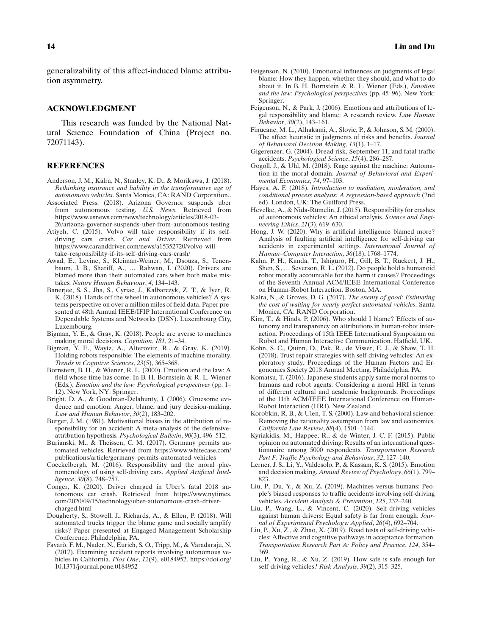generalizability of this affect-induced blame attribution asymmetry.

#### **ACKNOWLEDGMENT**

This research was funded by the National Natural Science Foundation of China (Project no. 72071143).

## **REFERENCES**

- Anderson, J. M., Kalra, N., Stanley, K. D., & Morikawa, J. (2018). *Rethinking insurance and liability in the transformative age of autonomous vehicles*. Santa Monica, CA: RAND Corporation..
- Associated Press. (2018). Arizona Governor suspends uber from autonomous testing. *U.S. News*. Retrieved from [https://www.usnews.com/news/technology/articles/2018-03-](https://www.usnews.com/news/technology/articles/2018-03-26/arizona-governor-suspends-uber-from-autonomous-testing) [26/arizona-governor-suspends-uber-from-autonomous-testing](https://www.usnews.com/news/technology/articles/2018-03-26/arizona-governor-suspends-uber-from-autonomous-testing)
- Atiyeh, C. (2015). Volvo will take responsibility if its selfdriving cars crash. *Car and Driver*. Retrieved from [https://www.caranddriver.com/news/a15352720/volvo-will](https://www.caranddriver.com/news/a15352720/volvo-will-take-responsibility-if-its-self-driving-cars-crash/)[take-responsibility-if-its-self-driving-cars-crash/](https://www.caranddriver.com/news/a15352720/volvo-will-take-responsibility-if-its-self-driving-cars-crash/)
- Awad, E., Levine, S., Kleiman-Weiner, M., Dsouza, S., Tenenbaum, J. B., Shariff, A., … Rahwan, I. (2020). Drivers are blamed more than their automated cars when both make mistakes. *Nature Human Behaviour*, *4*, 134–143.
- Banerjee, S. S., Jha, S., Cyriac, J., Kalbarczyk, Z. T., & Iyer, R. K. (2018). Hands off the wheel in autonomous vehicles? A systems perspective on over a million miles of field data. Paper presented at 48th Annual IEEE/IFIP International Conference on Dependable Systems and Networks (DSN). Luxembourg City, Luxembourg.
- Bigman, Y. E., & Gray, K. (2018). People are averse to machines making moral decisions. *Cognition*, *181*, 21–34.
- Bigman, Y. E., Waytz, A., Alterovitz, R., & Gray, K. (2019). Holding robots responsible: The elements of machine morality. *Trends in Cognitive Sciences*, *23*(5), 365–368.
- Bornstein, B. H., & Wiener, R. L. (2000). Emotion and the law: A field whose time has come. In B. H. Bornstein & R. L. Wiener (Eds.), *Emotion and the law: Psychological perspectives* (pp. 1– 12). New York, NY: Springer.
- Bright, D. A., & Goodman-Delahunty, J. (2006). Gruesome evidence and emotion: Anger, blame, and jury decision-making. *Law and Human Behavior*, *30*(2), 183–202.
- Burger, J. M. (1981). Motivational biases in the attribution of responsibility for an accident: A meta-analysis of the defensiveattribution hypothesis. *Psychological Bulletin*, *90*(3), 496–512.
- Burianski, M., & Theissen, C. M. (2017). Germany permits automated vehicles. Retrieved from [https://www.whitecase.com/](https://www.whitecase.com/publications/article/germany-permits-automated-vehicles) [publications/article/germany-permits-automated-vehicles](https://www.whitecase.com/publications/article/germany-permits-automated-vehicles)
- Coeckelbergh, M. (2016). Responsibility and the moral phenomenology of using self-driving cars. *Applied Artificial Intelligence*, *30*(8), 748–757.
- Conger, K. (2020). Driver charged in Uber's fatal 2018 autonomous car crash. Retrieved from [https://www.nytimes.](https://www.nytimes.com/2020/09/15/technology/uber-autonomous-crash-driver-charged.html) [com/2020/09/15/technology/uber-autonomous-crash-driver](https://www.nytimes.com/2020/09/15/technology/uber-autonomous-crash-driver-charged.html)[charged.html](https://www.nytimes.com/2020/09/15/technology/uber-autonomous-crash-driver-charged.html)
- Dougherty, S., Stowell, J., Richards, A., & Ellen, P. (2018). Will automated trucks trigger the blame game and socially amplify risks? Paper presented at Engaged Management Scholarship Conference. Philadelphia, PA.
- Favarò, F. M., Nader, N., Eurich, S. O., Tripp, M., & Varadaraju, N. (2017). Examining accident reports involving autonomous vehicles in California. *Plos One*, *12*(9), e0184952. [https://doi.org/](https://doi.org/10.1371/journal.pone.0184952) [10.1371/journal.pone.0184952](https://doi.org/10.1371/journal.pone.0184952)
- Feigenson, N. (2010). Emotional influences on judgments of legal blame: How they happen, whether they should, and what to do about it. In B. H. Bornstein & R. L. Wiener (Eds.), *Emotion and the law: Psychological perspectives* (pp. 45–96). New York: Springer.
- Feigenson, N., & Park, J. (2006). Emotions and attributions of legal responsibility and blame: A research review. *Law Human Behavior*, *30*(2), 143–161.
- Finucane, M. L., Alhakami, A., Slovic, P., & Johnson, S. M. (2000). The affect heuristic in judgments of risks and benefits. *Journal of Behavioral Decision Making*, *13*(1), 1–17.
- Gigerenzer, G. (2004). Dread risk, September 11, and fatal traffic accidents. *Psychological Science*, *15*(4), 286–287.
- Gogoll, J., & Uhl, M. (2018). Rage against the machine: Automation in the moral domain. *Journal of Behavioral and Experimental Economics*, *74*, 97–103.
- Hayes, A. F. (2018). *Introduction to mediation, moderation, and conditional process analysis: A regression-based approach* (2nd ed). London, UK: The Guilford Press.
- Hevelke, A., & Nida-Rümelin, J. (2015). Responsibility for crashes of autonomous vehicles: An ethical analysis. *Science and Engineering Ethics*, *21*(3), 619–630.
- Hong, J. W. (2020). Why is artificial intelligence blamed more? Analysis of faulting artificial intelligence for self-driving car accidents in experimental settings. *International Journal of Human–Computer Interaction*, *36*(18), 1768–1774.
- Kahn, P. H., Kanda, T., Ishiguro, H., Gill, B. T., Ruckert, J. H., Shen, S., … Severson, R. L. (2012). Do people hold a humanoid robot morally accountable for the harm it causes? Proceedings of the Seventh Annual ACM/IEEE International Conference on Human-Robot Interaction. Boston, MA.
- Kalra, N., & Groves, D. G. (2017). *The enemy of good: Estimating the cost of waiting for nearly perfect automated vehicles*. Santa Monica, CA: RAND Corporation.
- Kim, T., & Hinds, P. (2006). Who should I blame? Effects of autonomy and transparency on attributions in human-robot interaction. Proceedings of 15th IEEE International Symposium on Robot and Human Interactive Communication. Hatfield, UK.
- Kohn, S. C., Quinn, D., Pak, R., de Visser, E. J., & Shaw, T. H. (2018). Trust repair strategies with self-driving vehicles: An exploratory study. Proceedings of the Human Factors and Ergonomics Society 2018 Annual Meeting. Philadelphia, PA.
- Komatsu, T. (2016). Japanese students apply same moral norms to humans and robot agents: Considering a moral HRI in terms of different cultural and academic backgrounds. Proceedings of the 11th ACM/IEEE International Conference on Human-Robot Interaction (HRI). New Zealand.
- Korobkin, R. B., & Ulen, T. S. (2000). Law and behavioral science: Removing the rationality assumption from law and economics. *California Law Review*, *88*(4), 1501–1144.
- Kyriakidis, M., Happee, R., & de Winter, J. C. F. (2015). Public opinion on automated driving: Results of an international questionnaire among 5000 respondents. *Transportation Research Part F: Traffic Psychology and Behaviour*, *32*, 127–140.
- Lerner, J. S., Li, Y., Valdesolo, P., & Kassam, K. S. (2015). Emotion and decision making. *Annual Review of Psychology*, *66*(1), 799– 823.
- Liu, P., Du, Y., & Xu, Z. (2019). Machines versus humans: People's biased responses to traffic accidents involving self-driving vehicles. *Accident Analysis & Prevention*, *125*, 232–240.
- Liu, P., Wang, L., & Vincent, C. (2020). Self-driving vehicles against human drivers: Equal safety is far from enough. *Journal of Experimental Psychology: Applied*, *26*(4), 692–704.
- Liu, P., Xu, Z., & Zhao, X. (2019). Road tests of self-driving vehicles: Affective and cognitive pathways in acceptance formation. *Transportation Research Part A: Policy and Practice*, *124*, 354– 369.
- Liu, P., Yang, R., & Xu, Z. (2019). How safe is safe enough for self-driving vehicles? *Risk Analysis*, *39*(2), 315–325.